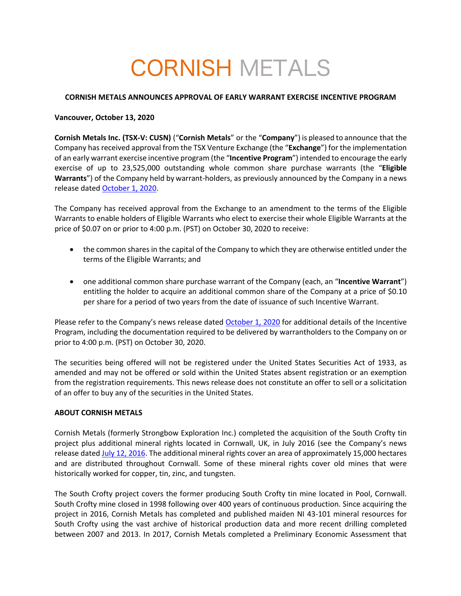# CORNISH METALS

## **CORNISH METALS ANNOUNCES APPROVAL OF EARLY WARRANT EXERCISE INCENTIVE PROGRAM**

### **Vancouver, October 13, 2020**

**Cornish Metals Inc. (TSX-V: CUSN)** ("**Cornish Metals**" or the "**Company**") is pleased to announce that the Company has received approval from the TSX Venture Exchange (the "**Exchange**") for the implementation of an early warrant exercise incentive program (the "**Incentive Program**") intended to encourage the early exercise of up to 23,525,000 outstanding whole common share purchase warrants (the "**Eligible Warrants**") of the Company held by warrant-holders, as previously announced by the Company in a news release dated October 1, 2020.

The Company has received approval from the Exchange to an amendment to the terms of the Eligible Warrants to enable holders of Eligible Warrants who elect to exercise their whole Eligible Warrants at the price of \$0.07 on or prior to 4:00 p.m. (PST) on October 30, 2020 to receive:

- the common shares in the capital of the Company to which they are otherwise entitled under the terms of the Eligible Warrants; and
- one additional common share purchase warrant of the Company (each, an "**Incentive Warrant**") entitling the holder to acquire an additional common share of the Company at a price of \$0.10 per share for a period of two years from the date of issuance of such Incentive Warrant.

Please refer to the Company's news release dated October 1, 2020 for additional details of the Incentive Program, including the documentation required to be delivered by warrantholders to the Company on or prior to 4:00 p.m. (PST) on October 30, 2020.

The securities being offered will not be registered under the United States Securities Act of 1933, as amended and may not be offered or sold within the United States absent registration or an exemption from the registration requirements. This news release does not constitute an offer to sell or a solicitation of an offer to buy any of the securities in the United States.

#### **ABOUT CORNISH METALS**

Cornish Metals (formerly Strongbow Exploration Inc.) completed the acquisition of the South Crofty tin project plus additional mineral rights located in Cornwall, UK, in July 2016 (see the Company's news release dated July 12, 2016. The additional mineral rights cover an area of approximately 15,000 hectares and are distributed throughout Cornwall. Some of these mineral rights cover old mines that were historically worked for copper, tin, zinc, and tungsten.

The South Crofty project covers the former producing South Crofty tin mine located in Pool, Cornwall. South Crofty mine closed in 1998 following over 400 years of continuous production. Since acquiring the project in 2016, Cornish Metals has completed and published maiden NI 43-101 mineral resources for South Crofty using the vast archive of historical production data and more recent drilling completed between 2007 and 2013. In 2017, Cornish Metals completed a Preliminary Economic Assessment that